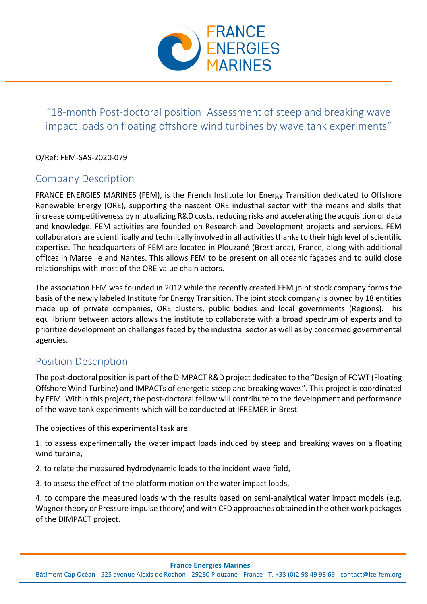

# "18-month Post-doctoral position: Assessment of steep and breaking wave impact loads on floating offshore wind turbines by wave tank experiments"

#### O/Ref: FEM-SAS-2020-079

## Company Description

FRANCE ENERGIES MARINES (FEM), is the French Institute for Energy Transition dedicated to Offshore Renewable Energy (ORE), supporting the nascent ORE industrial sector with the means and skills that increase competitiveness by mutualizing R&D costs, reducing risks and accelerating the acquisition of data and knowledge. FEM activities are founded on Research and Development projects and services. FEM collaborators are scientifically and technically involved in all activities thanks to their high level of scientific expertise. The headquarters of FEM are located in Plouzané (Brest area), France, along with additional offices in Marseille and Nantes. This allows FEM to be present on all oceanic façades and to build close relationships with most of the ORE value chain actors.

The association FEM was founded in 2012 while the recently created FEM joint stock company forms the basis of the newly labeled Institute for Energy Transition. The joint stock company is owned by 18 entities made up of private companies, ORE clusters, public bodies and local governments (Regions). This equilibrium between actors allows the institute to collaborate with a broad spectrum of experts and to prioritize development on challenges faced by the industrial sector as well as by concerned governmental agencies.

### Position Description

The post-doctoral position is part of the DIMPACT R&D project dedicated to the "Design of FOWT (Floating Offshore Wind Turbine) and IMPACTs of energetic steep and breaking waves". This project is coordinated by FEM. Within this project, the post-doctoral fellow will contribute to the development and performance of the wave tank experiments which will be conducted at IFREMER in Brest.

The objectives of this experimental task are:

1. to assess experimentally the water impact loads induced by steep and breaking waves on a floating wind turbine,

2. to relate the measured hydrodynamic loads to the incident wave field,

3. to assess the effect of the platform motion on the water impact loads,

4. to compare the measured loads with the results based on semi-analytical water impact models (e.g. Wagner theory or Pressure impulse theory) and with CFD approaches obtained in the other work packages of the DIMPACT project.

#### **France Energies Marines**

Bâtiment Cap Océan - 525 avenue Alexis de Rochon - 29280 Plouzané - France - T. +33 (0)2 98 49 98 69 - contact@ite-fem.org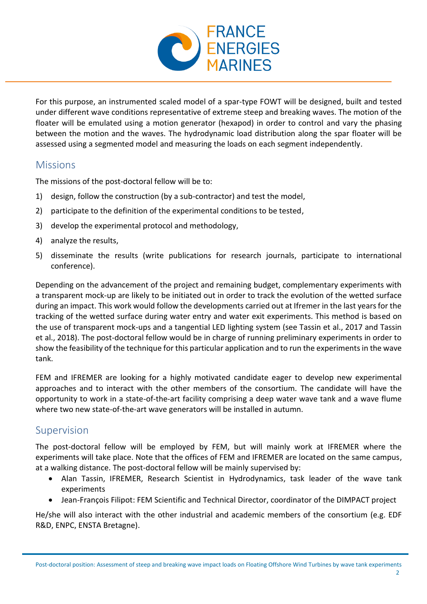

For this purpose, an instrumented scaled model of a spar-type FOWT will be designed, built and tested under different wave conditions representative of extreme steep and breaking waves. The motion of the floater will be emulated using a motion generator (hexapod) in order to control and vary the phasing between the motion and the waves. The hydrodynamic load distribution along the spar floater will be assessed using a segmented model and measuring the loads on each segment independently.

### Missions

The missions of the post-doctoral fellow will be to:

- 1) design, follow the construction (by a sub-contractor) and test the model,
- 2) participate to the definition of the experimental conditions to be tested,
- 3) develop the experimental protocol and methodology,
- 4) analyze the results,
- 5) disseminate the results (write publications for research journals, participate to international conference).

Depending on the advancement of the project and remaining budget, complementary experiments with a transparent mock-up are likely to be initiated out in order to track the evolution of the wetted surface during an impact. This work would follow the developments carried out at Ifremer in the last years for the tracking of the wetted surface during water entry and water exit experiments. This method is based on the use of transparent mock-ups and a tangential LED lighting system (see Tassin et al., 2017 and Tassin et al., 2018). The post-doctoral fellow would be in charge of running preliminary experiments in order to show the feasibility of the technique for this particular application and to run the experiments in the wave tank.

FEM and IFREMER are looking for a highly motivated candidate eager to develop new experimental approaches and to interact with the other members of the consortium. The candidate will have the opportunity to work in a state-of-the-art facility comprising a deep water wave tank and a wave flume where two new state-of-the-art wave generators will be installed in autumn.

## Supervision

The post-doctoral fellow will be employed by FEM, but will mainly work at IFREMER where the experiments will take place. Note that the offices of FEM and IFREMER are located on the same campus, at a walking distance. The post-doctoral fellow will be mainly supervised by:

- Alan Tassin, IFREMER, Research Scientist in Hydrodynamics, task leader of the wave tank experiments
- Jean-François Filipot: FEM Scientific and Technical Director, coordinator of the DIMPACT project

He/she will also interact with the other industrial and academic members of the consortium (e.g. EDF R&D, ENPC, ENSTA Bretagne).